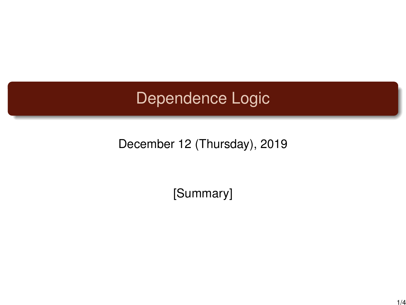## Dependence Logic

## December 12 (Thursday), 2019

[Summary]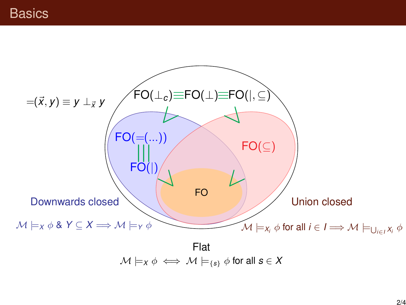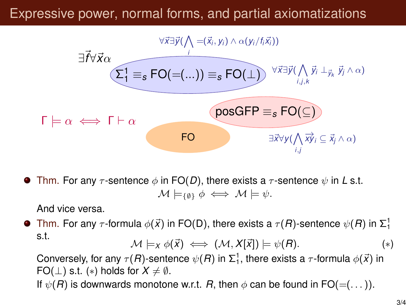## Expressive power, normal forms, and partial axiomatizations



**Thm.** For any  $\tau$ -sentence  $\phi$  in FO(D), there exists a  $\tau$ -sentence  $\psi$  in L s.t.  $M \models_{\{0\}} \phi \iff M \models \psi.$ 

And vice versa.

Thm. For any  $\tau$ -formula  $\phi(\vec{x})$  in FO(D), there exists a  $\tau(R)$ -sentence  $\psi(R)$  in  $\Sigma^1_1$ s.t.  $\mathcal{M} \models_X \phi(\vec{X}) \iff (\mathcal{M}, X[\vec{X}]) \models \psi(R).$  (\*)

Conversely, for any  $\tau(R)$ -sentence  $\psi(R)$  in  $\Sigma^1_1$ , there exists a  $\tau$ -formula  $\phi(\vec{x})$  in  $FO(\perp)$  s.t. (\*) holds for  $X \neq \emptyset$ . If  $\psi(R)$  is downwards monotone w.r.t. R, then  $\phi$  can be found in FO(=(...)).